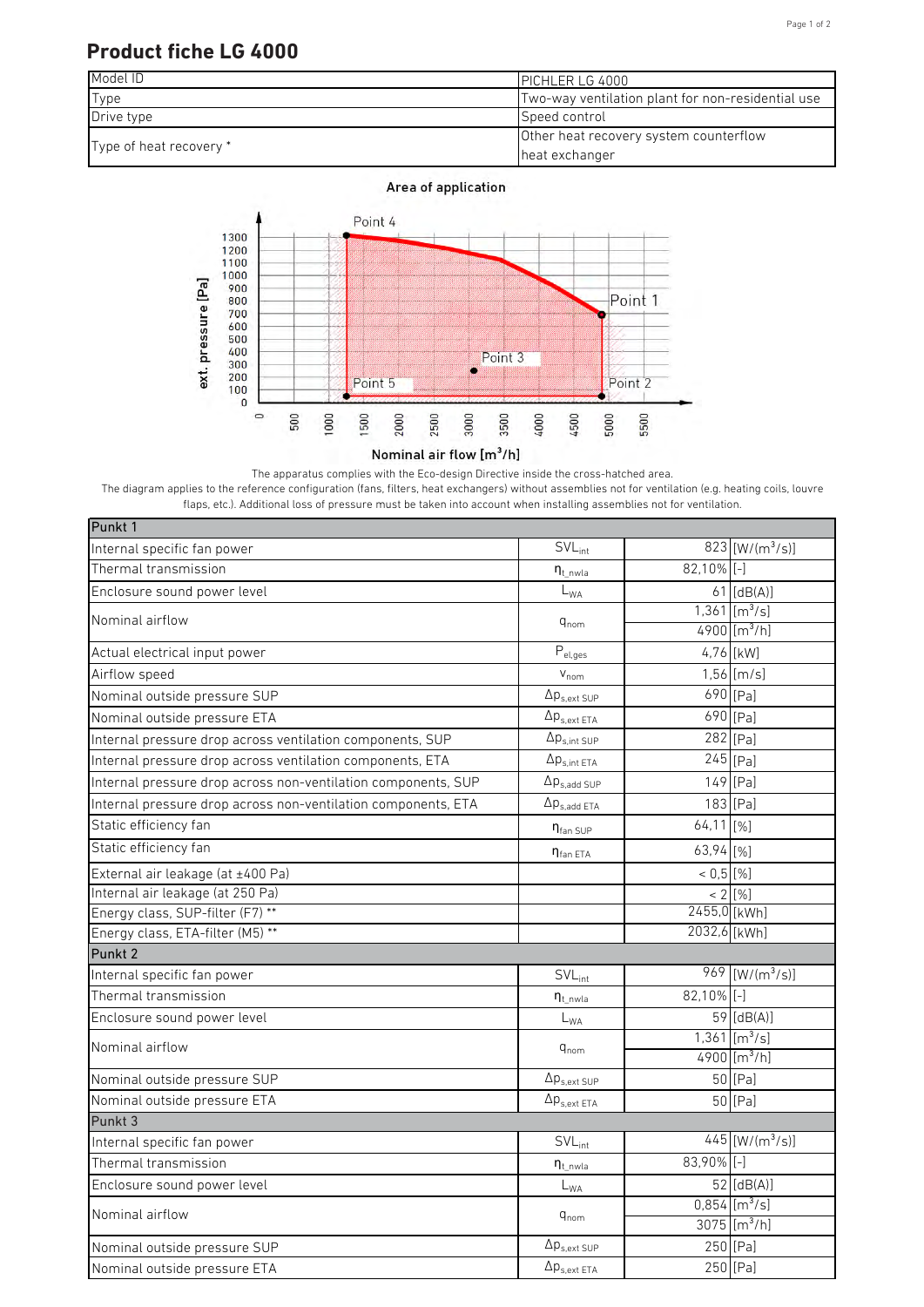## Page 1 of 2

## **Product fiche LG 4000**

| Model ID                | <b>PICHLER LG 4000</b>                            |  |
|-------------------------|---------------------------------------------------|--|
| Type                    | Two-way ventilation plant for non-residential use |  |
| Drive type              | Speed control                                     |  |
| Type of heat recovery * | Other heat recovery system counterflow            |  |
|                         | heat exchanger                                    |  |

Area of application



The apparatus complies with the Eco-design Directive inside the cross-hatched area.

The diagram applies to the reference configuration (fans, filters, heat exchangers) without assemblies not for ventilation (e.g. heating coils, louvre flaps, etc.). Additional loss of pressure must be taken into account when installing assemblies not for ventilation.

| Punkt 1                                                       |                                                                                                                                                                                                                                                                                                                                                                                                                                                                   |               |                               |
|---------------------------------------------------------------|-------------------------------------------------------------------------------------------------------------------------------------------------------------------------------------------------------------------------------------------------------------------------------------------------------------------------------------------------------------------------------------------------------------------------------------------------------------------|---------------|-------------------------------|
| Internal specific fan power                                   |                                                                                                                                                                                                                                                                                                                                                                                                                                                                   |               | 823 [W/(m <sup>3</sup> /s)]   |
| Thermal transmission                                          | $n_{t\_nwla}$                                                                                                                                                                                                                                                                                                                                                                                                                                                     | $82,10\%$ [-] |                               |
| Enclosure sound power level                                   | $L_{WA}$                                                                                                                                                                                                                                                                                                                                                                                                                                                          |               | $61$ [dB(A)]                  |
| Nominal airflow                                               | $SVL_{int}$<br>$q_{nom}$<br>$P_{el,ges}$<br>$V_{nom}$<br>$\Delta p_{s,ext\,SUP}$<br>$\Delta p_{s.ext ETA}$<br>$\Delta p_{s,int SUP}$<br>$\Delta p_{s,int ETA}$<br>$\Delta p_{s,add~SUP}$<br>$\Delta p_{s.add ETA}$<br>$\eta_{\text{fan Sup}}$<br>$n_{fan ETA}$<br>$SVL_{int}$<br>$\eta_{t\_nwla}$<br>$L_{WA}$<br>$\mathsf{q}_{\mathsf{nom}}$<br>$\Delta p_{s,ext SUP}$<br>$\Delta p_{s.ext ETA}$<br>$SVL_{int}$<br>$\eta_{t\_nwla}$<br>$\mathsf{L}_{\mathsf{WA}}$ |               | $1,361$ [m <sup>3</sup> /s]   |
|                                                               |                                                                                                                                                                                                                                                                                                                                                                                                                                                                   |               | 4900 [ $m^3/h$ ]              |
| Actual electrical input power                                 |                                                                                                                                                                                                                                                                                                                                                                                                                                                                   |               | 4,76 [kW]                     |
| Airflow speed                                                 |                                                                                                                                                                                                                                                                                                                                                                                                                                                                   |               | $1,56$ [m/s]                  |
| Nominal outside pressure SUP                                  |                                                                                                                                                                                                                                                                                                                                                                                                                                                                   |               | $690$ [Pa]                    |
| Nominal outside pressure ETA                                  |                                                                                                                                                                                                                                                                                                                                                                                                                                                                   |               | $690$ [Pa]                    |
| Internal pressure drop across ventilation components, SUP     |                                                                                                                                                                                                                                                                                                                                                                                                                                                                   |               | 282 [Pa]                      |
| Internal pressure drop across ventilation components, ETA     |                                                                                                                                                                                                                                                                                                                                                                                                                                                                   |               | $245$ [Pa]                    |
| Internal pressure drop across non-ventilation components, SUP |                                                                                                                                                                                                                                                                                                                                                                                                                                                                   |               | 149 [Pa]                      |
| Internal pressure drop across non-ventilation components, ETA |                                                                                                                                                                                                                                                                                                                                                                                                                                                                   |               | 183 [Pa]                      |
| Static efficiency fan                                         |                                                                                                                                                                                                                                                                                                                                                                                                                                                                   | 64,11 [%]     |                               |
| Static efficiency fan                                         |                                                                                                                                                                                                                                                                                                                                                                                                                                                                   | 63,94 [%]     |                               |
| External air leakage (at ±400 Pa)                             |                                                                                                                                                                                                                                                                                                                                                                                                                                                                   | $< 0.5$ [%]   |                               |
| Internal air leakage (at 250 Pa)                              |                                                                                                                                                                                                                                                                                                                                                                                                                                                                   |               | $< 2$ [%]                     |
| Energy class, SUP-filter (F7) **                              |                                                                                                                                                                                                                                                                                                                                                                                                                                                                   | 2455,0 [kWh]  |                               |
| Energy class, ETA-filter (M5) **                              |                                                                                                                                                                                                                                                                                                                                                                                                                                                                   | 2032,6 [kWh]  |                               |
| Punkt 2                                                       |                                                                                                                                                                                                                                                                                                                                                                                                                                                                   |               |                               |
| Internal specific fan power                                   |                                                                                                                                                                                                                                                                                                                                                                                                                                                                   |               | $969$ [W/(m <sup>3</sup> /s)] |
| Thermal transmission                                          |                                                                                                                                                                                                                                                                                                                                                                                                                                                                   | 82,10% [-]    |                               |
| Enclosure sound power level                                   |                                                                                                                                                                                                                                                                                                                                                                                                                                                                   |               | 59 [dB(A)]                    |
| Nominal airflow                                               |                                                                                                                                                                                                                                                                                                                                                                                                                                                                   |               | $1,361$ [m <sup>3</sup> /s]   |
|                                                               |                                                                                                                                                                                                                                                                                                                                                                                                                                                                   |               | 4900 [ $m^3/h$ ]              |
| Nominal outside pressure SUP                                  |                                                                                                                                                                                                                                                                                                                                                                                                                                                                   |               | 50 [Pa]                       |
| Nominal outside pressure ETA                                  |                                                                                                                                                                                                                                                                                                                                                                                                                                                                   |               | 50 [Pa]                       |
| Punkt 3                                                       |                                                                                                                                                                                                                                                                                                                                                                                                                                                                   |               |                               |
| Internal specific fan power                                   |                                                                                                                                                                                                                                                                                                                                                                                                                                                                   |               | $445$ [W/(m <sup>3</sup> /s)] |
| Thermal transmission                                          |                                                                                                                                                                                                                                                                                                                                                                                                                                                                   | 83,90% [-]    |                               |
| Enclosure sound power level                                   |                                                                                                                                                                                                                                                                                                                                                                                                                                                                   |               | 52 [dB(A)]                    |
| Nominal airflow                                               | $q_{nom}$                                                                                                                                                                                                                                                                                                                                                                                                                                                         |               | $0,854$ [m <sup>3</sup> /s]   |
|                                                               |                                                                                                                                                                                                                                                                                                                                                                                                                                                                   |               | $3075$ [m <sup>3</sup> /h]    |
| Nominal outside pressure SUP                                  | $\Delta p_{s,ext\,SUP}$                                                                                                                                                                                                                                                                                                                                                                                                                                           |               | 250 [Pa]                      |
| Nominal outside pressure ETA                                  | $\Delta p_{s,ext\ ETA}$                                                                                                                                                                                                                                                                                                                                                                                                                                           |               | 250 [Pa]                      |